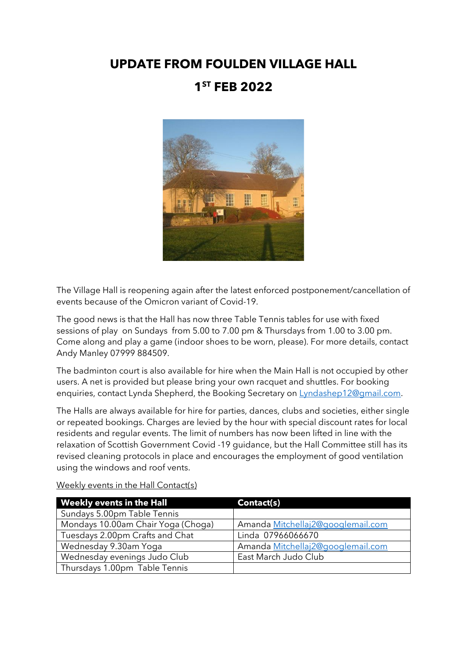## **UPDATE FROM FOULDEN VILLAGE HALL 1 ST FEB 2022**



The Village Hall is reopening again after the latest enforced postponement/cancellation of events because of the Omicron variant of Covid-19.

The good news is that the Hall has now three Table Tennis tables for use with fixed sessions of play on Sundays from 5.00 to 7.00 pm & Thursdays from 1.00 to 3.00 pm. Come along and play a game (indoor shoes to be worn, please). For more details, contact Andy Manley 07999 884509.

The badminton court is also available for hire when the Main Hall is not occupied by other users. A net is provided but please bring your own racquet and shuttles. For booking enquiries, contact Lynda Shepherd, the Booking Secretary on [Lyndashep12@gmail.com.](mailto:Lyndashep12@gmail.com)

The Halls are always available for hire for parties, dances, clubs and societies, either single or repeated bookings. Charges are levied by the hour with special discount rates for local residents and regular events. The limit of numbers has now been lifted in line with the relaxation of Scottish Government Covid -19 guidance, but the Hall Committee still has its revised cleaning protocols in place and encourages the employment of good ventilation using the windows and roof vents.

| <b>Weekly events in the Hall</b>   | Contact(s)                        |
|------------------------------------|-----------------------------------|
| Sundays 5.00pm Table Tennis        |                                   |
| Mondays 10.00am Chair Yoga (Choga) | Amanda Mitchellaj2@googlemail.com |
| Tuesdays 2.00pm Crafts and Chat    | Linda 07966066670                 |
| Wednesday 9.30am Yoga              | Amanda Mitchellaj2@googlemail.com |
| Wednesday evenings Judo Club       | East March Judo Club              |
| Thursdays 1.00pm Table Tennis      |                                   |

Weekly events in the Hall Contact(s)